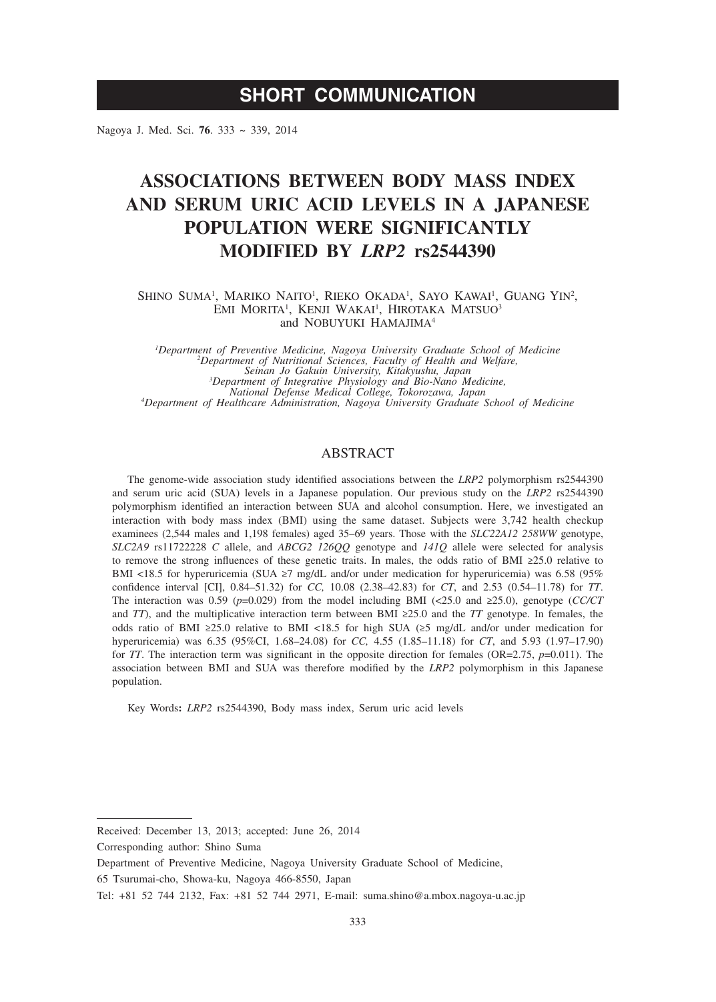# **SHORT COMMUNICATION**

Nagoya J. Med. Sci. **76**. 333 ~ 339, 2014

# **ASSOCIATIONS BETWEEN BODY MASS INDEX AND SERUM URIC ACID LEVELS IN A JAPANESE POPULATION WERE SIGNIFICANTLY MODIFIED BY** *LRP2* **rs2544390**

SHINO SUMA<sup>1</sup>, MARIKO NAITO<sup>1</sup>, RIEKO OKADA<sup>1</sup>, SAYO KAWAI<sup>1</sup>, GUANG YIN<sup>2</sup>, EMI MORITA<sup>1</sup>, KENJI WAKAI<sup>1</sup>, HIROTAKA MATSUO<sup>3</sup> and NOBUYUKI HAMAJIMA<sup>4</sup>

*1 Department of Preventive Medicine, Nagoya University Graduate School of Medicine <sup>2</sup> Department of Nutritional Sciences, Faculty of Health and Welfare, Seinan Jo Gakuin University, Kitakyushu, Japan*<br>
<sup>3</sup> Department of Integrative Physiology and Bio-Nano Medicine,<br>
<sup>4</sup> Nepartment of Healthcare Administration National Libiere, Tokorozawa, Japan<br>
<sup>4</sup> Department of Healthca *Department of Healthcare Administration, Nagoya University Graduate School of Medicine*

### ABSTRACT

The genome-wide association study identified associations between the *LRP2* polymorphism rs2544390 and serum uric acid (SUA) levels in a Japanese population. Our previous study on the *LRP2* rs2544390 polymorphism identified an interaction between SUA and alcohol consumption. Here, we investigated an interaction with body mass index (BMI) using the same dataset. Subjects were 3,742 health checkup examinees (2,544 males and 1,198 females) aged 35–69 years. Those with the *SLC22A12 258WW* genotype, *SLC2A9* rs11722228 *C* allele, and *ABCG2 126QQ* genotype and *141Q* allele were selected for analysis to remove the strong influences of these genetic traits. In males, the odds ratio of BMI ≥25.0 relative to BMI <18.5 for hyperuricemia (SUA ≥7 mg/dL and/or under medication for hyperuricemia) was 6.58 (95% confidence interval [CI], 0.84–51.32) for *CC,* 10.08 (2.38–42.83) for *CT*, and 2.53 (0.54–11.78) for *TT*. The interaction was 0.59 ( $p=0.029$ ) from the model including BMI (<25.0 and  $\geq$ 25.0), genotype (*CC/CT* and *TT*), and the multiplicative interaction term between BMI ≥25.0 and the *TT* genotype. In females, the odds ratio of BMI ≥25.0 relative to BMI <18.5 for high SUA (≥5 mg/dL and/or under medication for hyperuricemia) was 6.35 (95%CI, 1.68–24.08) for *CC,* 4.55 (1.85–11.18) for *CT*, and 5.93 (1.97–17.90) for *TT*. The interaction term was significant in the opposite direction for females (OR=2.75, *p*=0.011). The association between BMI and SUA was therefore modified by the *LRP2* polymorphism in this Japanese population.

Key Words**:** *LRP2* rs2544390, Body mass index, Serum uric acid levels

Received: December 13, 2013; accepted: June 26, 2014

Corresponding author: Shino Suma

Department of Preventive Medicine, Nagoya University Graduate School of Medicine, 65 Tsurumai-cho, Showa-ku, Nagoya 466-8550, Japan

Tel: +81 52 744 2132, Fax: +81 52 744 2971, E-mail: suma.shino@a.mbox.nagoya-u.ac.jp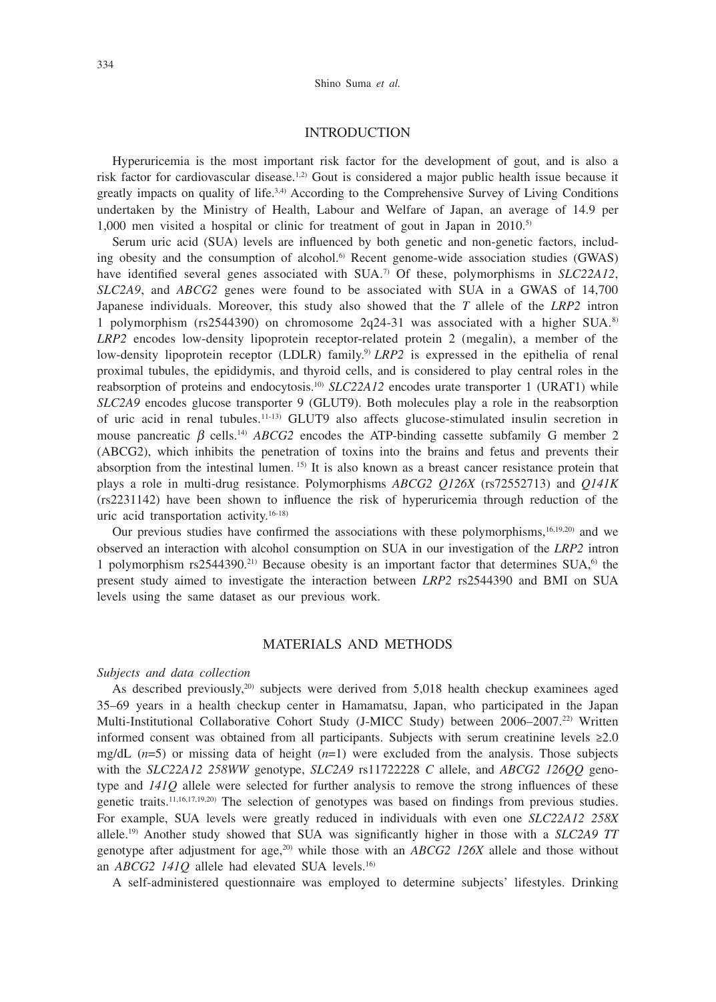#### INTRODUCTION

Hyperuricemia is the most important risk factor for the development of gout, and is also a risk factor for cardiovascular disease.<sup>1,2)</sup> Gout is considered a major public health issue because it greatly impacts on quality of life.<sup>3,4)</sup> According to the Comprehensive Survey of Living Conditions undertaken by the Ministry of Health, Labour and Welfare of Japan, an average of 14.9 per 1,000 men visited a hospital or clinic for treatment of gout in Japan in 2010.5)

Serum uric acid (SUA) levels are influenced by both genetic and non-genetic factors, including obesity and the consumption of alcohol.<sup>6)</sup> Recent genome-wide association studies (GWAS) have identified several genes associated with SUA.<sup>7</sup> Of these, polymorphisms in *SLC22A12*, *SLC2A9*, and *ABCG2* genes were found to be associated with SUA in a GWAS of 14,700 Japanese individuals. Moreover, this study also showed that the *T* allele of the *LRP2* intron 1 polymorphism (rs2544390) on chromosome  $2q24-31$  was associated with a higher SUA.<sup>8)</sup> *LRP2* encodes low-density lipoprotein receptor-related protein 2 (megalin), a member of the low-density lipoprotein receptor (LDLR) family.<sup>9)</sup> *LRP2* is expressed in the epithelia of renal proximal tubules, the epididymis, and thyroid cells, and is considered to play central roles in the reabsorption of proteins and endocytosis.<sup>10</sup> *SLC22A12* encodes urate transporter 1 (URAT1) while *SLC2A9* encodes glucose transporter 9 (GLUT9). Both molecules play a role in the reabsorption of uric acid in renal tubules.11-13) GLUT9 also affects glucose-stimulated insulin secretion in mouse pancreatic  $\beta$  cells.<sup>14)</sup> *ABCG2* encodes the ATP-binding cassette subfamily G member 2 (ABCG2), which inhibits the penetration of toxins into the brains and fetus and prevents their absorption from the intestinal lumen. 15) It is also known as a breast cancer resistance protein that plays a role in multi-drug resistance. Polymorphisms *ABCG2 Q126X* (rs72552713) and *Q141K* (rs2231142) have been shown to influence the risk of hyperuricemia through reduction of the uric acid transportation activity.<sup>16-18)</sup>

Our previous studies have confirmed the associations with these polymorphisms, $16,19,20$  and we observed an interaction with alcohol consumption on SUA in our investigation of the *LRP2* intron 1 polymorphism  $rs2544390<sup>21</sup>$  Because obesity is an important factor that determines SUA,<sup>6</sup> the present study aimed to investigate the interaction between *LRP2* rs2544390 and BMI on SUA levels using the same dataset as our previous work.

### MATERIALS AND METHODS

#### *Subjects and data collection*

As described previously,<sup>20)</sup> subjects were derived from 5,018 health checkup examinees aged 35–69 years in a health checkup center in Hamamatsu, Japan, who participated in the Japan Multi-Institutional Collaborative Cohort Study (J-MICC Study) between 2006–2007.<sup>22)</sup> Written informed consent was obtained from all participants. Subjects with serum creatinine levels ≥2.0 mg/dL (*n*=5) or missing data of height (*n*=1) were excluded from the analysis. Those subjects with the *SLC22A12 258WW* genotype, *SLC2A9* rs11722228 *C* allele, and *ABCG2 126QQ* genotype and *141Q* allele were selected for further analysis to remove the strong influences of these genetic traits.11,16,17,19,20) The selection of genotypes was based on findings from previous studies. For example, SUA levels were greatly reduced in individuals with even one *SLC22A12 258X* allele.19) Another study showed that SUA was significantly higher in those with a *SLC2A9 TT* genotype after adjustment for age,20) while those with an *ABCG2 126X* allele and those without an *ABCG2 141Q* allele had elevated SUA levels.16)

A self-administered questionnaire was employed to determine subjects' lifestyles. Drinking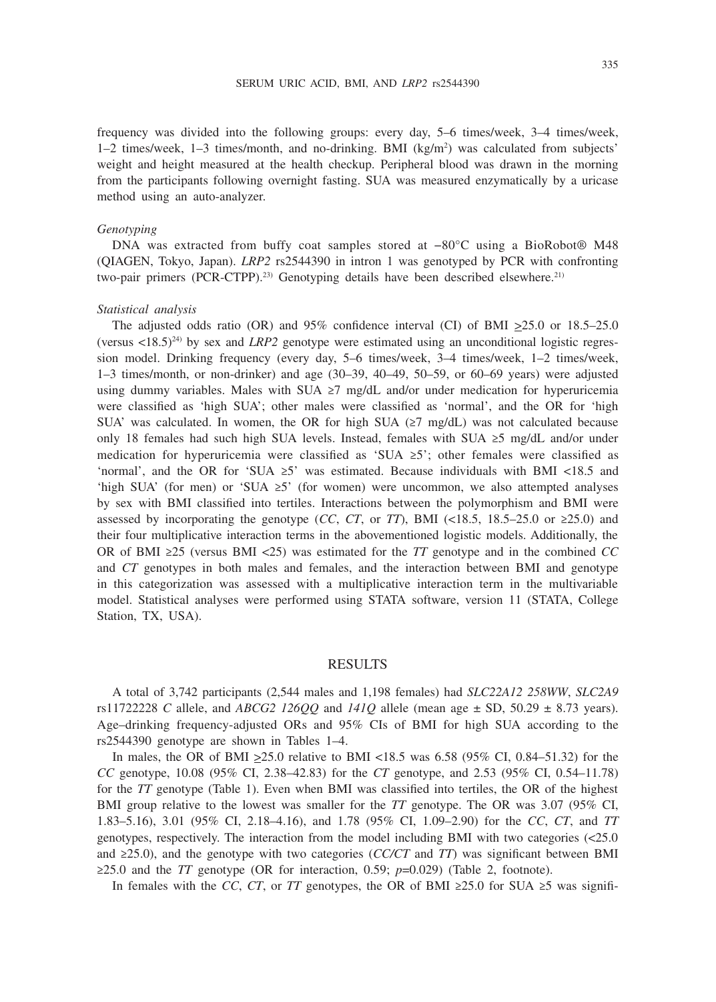frequency was divided into the following groups: every day, 5–6 times/week, 3–4 times/week,  $1-2$  times/week,  $1-3$  times/month, and no-drinking. BMI (kg/m<sup>2</sup>) was calculated from subjects' weight and height measured at the health checkup. Peripheral blood was drawn in the morning from the participants following overnight fasting. SUA was measured enzymatically by a uricase method using an auto-analyzer.

#### *Genotyping*

DNA was extracted from buffy coat samples stored at −80°C using a BioRobot® M48 (QIAGEN, Tokyo, Japan). *LRP2* rs2544390 in intron 1 was genotyped by PCR with confronting two-pair primers (PCR-CTPP).<sup>23)</sup> Genotyping details have been described elsewhere.<sup>21)</sup>

## *Statistical analysis*

The adjusted odds ratio (OR) and 95% confidence interval (CI) of BMI  $\geq$ 25.0 or 18.5–25.0 (versus  $\langle 18.5 \rangle^{24}$ ) by sex and *LRP2* genotype were estimated using an unconditional logistic regression model. Drinking frequency (every day, 5–6 times/week, 3–4 times/week, 1–2 times/week, 1–3 times/month, or non-drinker) and age (30–39, 40–49, 50–59, or 60–69 years) were adjusted using dummy variables. Males with SUA  $\geq$ 7 mg/dL and/or under medication for hyperuricemia were classified as 'high SUA'; other males were classified as 'normal', and the OR for 'high SUA' was calculated. In women, the OR for high SUA ( $\geq$ 7 mg/dL) was not calculated because only 18 females had such high SUA levels. Instead, females with SUA ≥5 mg/dL and/or under medication for hyperuricemia were classified as 'SUA  $\geq$ 5'; other females were classified as 'normal', and the OR for 'SUA  $\geq 5$ ' was estimated. Because individuals with BMI <18.5 and 'high SUA' (for men) or 'SUA ≥5' (for women) were uncommon, we also attempted analyses by sex with BMI classified into tertiles. Interactions between the polymorphism and BMI were assessed by incorporating the genotype (*CC*, *CT*, or *TT*), BMI (<18.5, 18.5–25.0 or  $\geq$ 25.0) and their four multiplicative interaction terms in the abovementioned logistic models. Additionally, the OR of BMI ≥25 (versus BMI <25) was estimated for the *TT* genotype and in the combined *CC* and *CT* genotypes in both males and females, and the interaction between BMI and genotype in this categorization was assessed with a multiplicative interaction term in the multivariable model. Statistical analyses were performed using STATA software, version 11 (STATA, College Station, TX, USA).

#### RESULTS

A total of 3,742 participants (2,544 males and 1,198 females) had *SLC22A12 258WW*, *SLC2A9* rs11722228 *C* allele, and *ABCG2 126QQ* and  $141Q$  allele (mean age  $\pm$  SD, 50.29  $\pm$  8.73 years). Age–drinking frequency-adjusted ORs and 95% CIs of BMI for high SUA according to the rs2544390 genotype are shown in Tables 1–4.

In males, the OR of BMI  $\geq$ 25.0 relative to BMI <18.5 was 6.58 (95% CI, 0.84–51.32) for the *CC* genotype, 10.08 (95% CI, 2.38–42.83) for the *CT* genotype, and 2.53 (95% CI, 0.54–11.78) for the *TT* genotype (Table 1). Even when BMI was classified into tertiles, the OR of the highest BMI group relative to the lowest was smaller for the *TT* genotype. The OR was 3.07 (95% CI, 1.83–5.16), 3.01 (95% CI, 2.18–4.16), and 1.78 (95% CI, 1.09–2.90) for the *CC*, *CT*, and *TT* genotypes, respectively. The interaction from the model including BMI with two categories (<25.0 and ≥25.0), and the genotype with two categories (*CC/CT* and *TT*) was significant between BMI  $\geq$ 25.0 and the *TT* genotype (OR for interaction, 0.59; *p*=0.029) (Table 2, footnote).

In females with the *CC*, *CT*, or *TT* genotypes, the OR of BMI ≥25.0 for SUA ≥5 was signifi-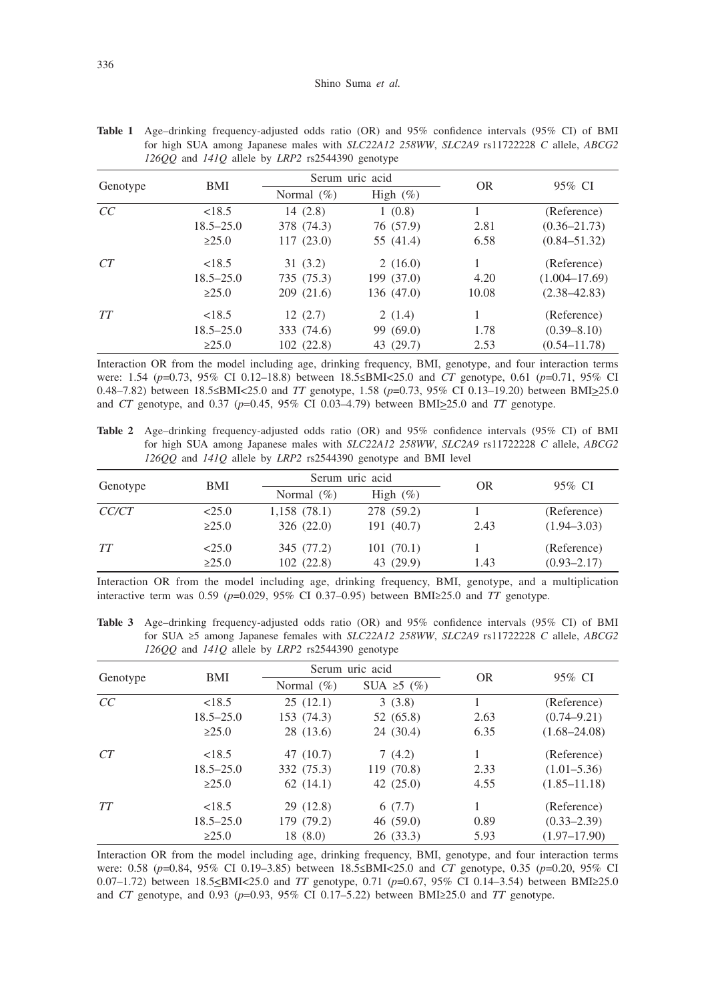| Genotype | BMI           | Serum uric acid |             |           |                   |
|----------|---------------|-----------------|-------------|-----------|-------------------|
|          |               | Normal $(\%)$   | High $(\%)$ | <b>OR</b> | 95% CI            |
| CC       | < 18.5        | 14(2.8)         | 1(0.8)      |           | (Reference)       |
|          | $18.5 - 25.0$ | 378 (74.3)      | 76 (57.9)   | 2.81      | $(0.36 - 21.73)$  |
|          | $\geq 25.0$   | 117(23.0)       | 55 (41.4)   | 6.58      | $(0.84 - 51.32)$  |
| CT       | < 18.5        | 31(3.2)         | 2(16.0)     |           | (Reference)       |
|          | $18.5 - 25.0$ | 735 (75.3)      | 199 (37.0)  | 4.20      | $(1.004 - 17.69)$ |
|          | $\geq 25.0$   | 209(21.6)       | 136 (47.0)  | 10.08     | $(2.38 - 42.83)$  |
| TT       | < 18.5        | 12(2.7)         | 2(1.4)      |           | (Reference)       |
|          | $18.5 - 25.0$ | 333 (74.6)      | 99(69.0)    | 1.78      | $(0.39 - 8.10)$   |
|          | $\ge 25.0$    | 102 (22.8)      | 43 (29.7)   | 2.53      | $(0.54 - 11.78)$  |

**Table 1** Age–drinking frequency-adjusted odds ratio (OR) and 95% confidence intervals (95% CI) of BMI for high SUA among Japanese males with *SLC22A12 258WW*, *SLC2A9* rs11722228 *C* allele, *ABCG2 126QQ* and *141Q* allele by *LRP2* rs2544390 genotype

Interaction OR from the model including age, drinking frequency, BMI, genotype, and four interaction terms were: 1.54 (*p*=0.73, 95% CI 0.12–18.8) between 18.5≤BMI<25.0 and *CT* genotype, 0.61 (*p*=0.71, 95% CI 0.48–7.82) between 18.5≤BMI<25.0 and *TT* genotype, 1.58 (*p*=0.73, 95% CI 0.13–19.20) between BMI>25.0 and *CT* genotype, and 0.37 ( $p=0.45$ , 95% CI 0.03-4.79) between BMI $\geq$ 25.0 and *TT* genotype.

**Table 2** Age–drinking frequency-adjusted odds ratio (OR) and 95% confidence intervals (95% CI) of BMI for high SUA among Japanese males with *SLC22A12 258WW*, *SLC2A9* rs11722228 *C* allele, *ABCG2 126QQ* and *141Q* allele by *LRP2* rs2544390 genotype and BMI level

| Genotype     | BMI                   | Serum uric acid          |                          |           |                                |
|--------------|-----------------------|--------------------------|--------------------------|-----------|--------------------------------|
|              |                       | Normal $(\% )$           | High $(\%)$              | <b>OR</b> | 95% CI                         |
| <i>CC/CT</i> | < 25.0<br>$\geq 25.0$ | 1,158(78.1)<br>326(22.0) | 278 (59.2)<br>191 (40.7) | 2.43      | (Reference)<br>$(1.94 - 3.03)$ |
| TТ           | < 25.0<br>$\geq 25.0$ | 345 (77.2)<br>102(22.8)  | 101(70.1)<br>43 (29.9)   | 1.43      | (Reference)<br>$(0.93 - 2.17)$ |

Interaction OR from the model including age, drinking frequency, BMI, genotype, and a multiplication interactive term was 0.59 (*p*=0.029, 95% CI 0.37–0.95) between BMI≥25.0 and *TT* genotype.

**Table 3** Age–drinking frequency-adjusted odds ratio (OR) and 95% confidence intervals (95% CI) of BMI for SUA ≥5 among Japanese females with *SLC22A12 258WW*, *SLC2A9* rs11722228 *C* allele, *ABCG2 126QQ* and *141Q* allele by *LRP2* rs2544390 genotype

| Genotype | BMI           | Serum uric acid |                  |           | 95% CI           |
|----------|---------------|-----------------|------------------|-----------|------------------|
|          |               | Normal $(\%)$   | SUA $\geq$ 5 (%) | <b>OR</b> |                  |
| CC       | < 18.5        | 25(12.1)        | 3(3.8)           |           | (Reference)      |
|          | $18.5 - 25.0$ | 153 (74.3)      | 52 (65.8)        | 2.63      | $(0.74 - 9.21)$  |
|          | $\geq 25.0$   | 28 (13.6)       | 24(30.4)         | 6.35      | $(1.68 - 24.08)$ |
| CT       | < 18.5        | 47 (10.7)       | 7(4.2)           |           | (Reference)      |
|          | $18.5 - 25.0$ | 332 (75.3)      | 119 (70.8)       | 2.33      | $(1.01 - 5.36)$  |
|          | $\geq 25.0$   | 62(14.1)        | 42(25.0)         | 4.55      | $(1.85 - 11.18)$ |
| TT       | < 18.5        | 29(12.8)        | 6(7.7)           |           | (Reference)      |
|          | $18.5 - 25.0$ | 179 (79.2)      | 46(59.0)         | 0.89      | $(0.33 - 2.39)$  |
|          | $\geq 25.0$   | 18(8.0)         | 26(33.3)         | 5.93      | $(1.97 - 17.90)$ |

Interaction OR from the model including age, drinking frequency, BMI, genotype, and four interaction terms were: 0.58 (*p*=0.84, 95% CI 0.19–3.85) between 18.5≤BMI<25.0 and *CT* genotype, 0.35 (*p*=0.20, 95% CI 0.07–1.72) between 18.5<BMI<25.0 and *TT* genotype, 0.71 (*p*=0.67, 95% CI 0.14–3.54) between BMI≥25.0 and *CT* genotype, and 0.93 (*p*=0.93, 95% CI 0.17–5.22) between BMI≥25.0 and *TT* genotype.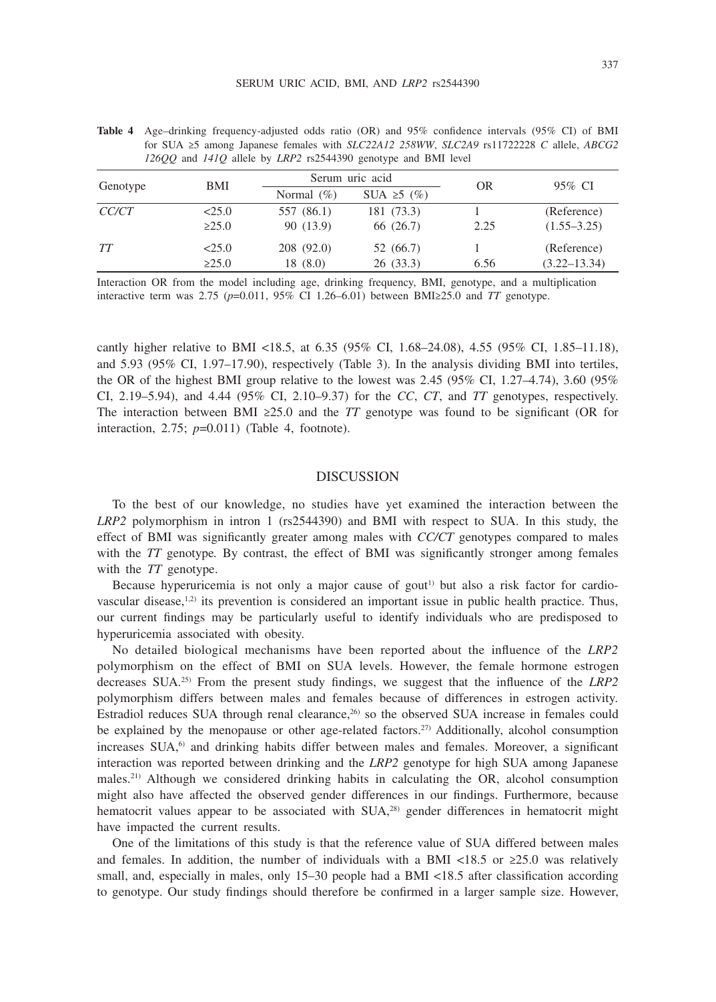| Genotype     | BMI                   | Serum uric acid         |                         |      |                                 |
|--------------|-----------------------|-------------------------|-------------------------|------|---------------------------------|
|              |                       | Normal $(\%)$           | SUA $\geq$ 5 (%)        | OR   | 95% CI                          |
| <i>CC/CT</i> | 25.0<br>$\geq 25.0$   | 557 (86.1)<br>90 (13.9) | 181 (73.3)<br>66 (26.7) | 2.25 | (Reference)<br>$(1.55 - 3.25)$  |
| TТ           | < 25.0<br>$\geq 25.0$ | 208(92.0)<br>18(8.0)    | 52 (66.7)<br>26(33.3)   | 6.56 | (Reference)<br>$(3.22 - 13.34)$ |

**Table 4** Age–drinking frequency-adjusted odds ratio (OR) and 95% confidence intervals (95% CI) of BMI for SUA ≥5 among Japanese females with *SLC22A12 258WW*, *SLC2A9* rs11722228 *C* allele, *ABCG2 126QQ* and *141Q* allele by *LRP2* rs2544390 genotype and BMI level

Interaction OR from the model including age, drinking frequency, BMI, genotype, and a multiplication interactive term was 2.75 (*p*=0.011, 95% CI 1.26–6.01) between BMI≥25.0 and *TT* genotype.

cantly higher relative to BMI <18.5, at 6.35 (95% CI, 1.68–24.08), 4.55 (95% CI, 1.85–11.18), and 5.93 (95% CI, 1.97–17.90), respectively (Table 3). In the analysis dividing BMI into tertiles, the OR of the highest BMI group relative to the lowest was  $2.45$  (95% CI, 1.27–4.74), 3.60 (95% CI, 2.19–5.94), and 4.44 (95% CI, 2.10–9.37) for the *CC*, *CT*, and *TT* genotypes, respectively. The interaction between BMI ≥25.0 and the *TT* genotype was found to be significant (OR for interaction, 2.75; *p*=0.011) (Table 4, footnote).

#### **DISCUSSION**

To the best of our knowledge, no studies have yet examined the interaction between the *LRP2* polymorphism in intron 1 (rs2544390) and BMI with respect to SUA. In this study, the effect of BMI was significantly greater among males with *CC/CT* genotypes compared to males with the *TT* genotype*.* By contrast, the effect of BMI was significantly stronger among females with the *TT* genotype.

Because hyperuricemia is not only a major cause of gout<sup>1)</sup> but also a risk factor for cardiovascular disease, $\frac{1}{2}$  its prevention is considered an important issue in public health practice. Thus, our current findings may be particularly useful to identify individuals who are predisposed to hyperuricemia associated with obesity.

No detailed biological mechanisms have been reported about the influence of the *LRP2* polymorphism on the effect of BMI on SUA levels. However, the female hormone estrogen decreases SUA.25) From the present study findings, we suggest that the influence of the *LRP2* polymorphism differs between males and females because of differences in estrogen activity. Estradiol reduces SUA through renal clearance,<sup>26)</sup> so the observed SUA increase in females could be explained by the menopause or other age-related factors.<sup>27)</sup> Additionally, alcohol consumption increases SUA,<sup>6)</sup> and drinking habits differ between males and females. Moreover, a significant interaction was reported between drinking and the *LRP2* genotype for high SUA among Japanese males.21) Although we considered drinking habits in calculating the OR, alcohol consumption might also have affected the observed gender differences in our findings. Furthermore, because hematocrit values appear to be associated with SUA,<sup>28)</sup> gender differences in hematocrit might have impacted the current results.

One of the limitations of this study is that the reference value of SUA differed between males and females. In addition, the number of individuals with a BMI <18.5 or  $\geq 25.0$  was relatively small, and, especially in males, only 15–30 people had a BMI <18.5 after classification according to genotype. Our study findings should therefore be confirmed in a larger sample size. However,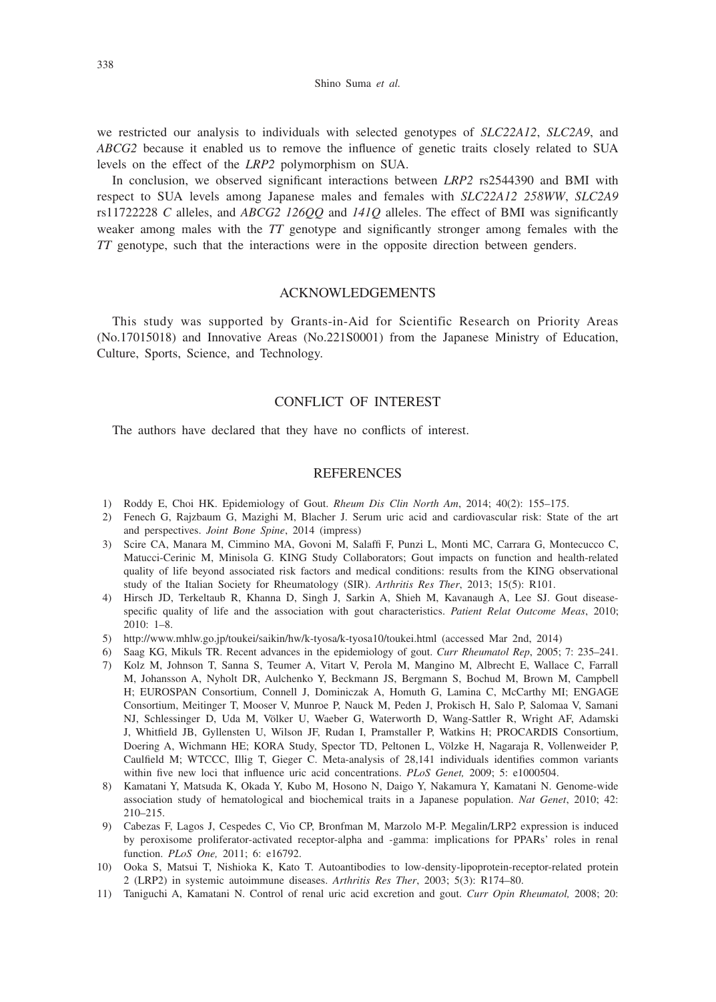we restricted our analysis to individuals with selected genotypes of *SLC22A12*, *SLC2A9*, and *ABCG2* because it enabled us to remove the influence of genetic traits closely related to SUA levels on the effect of the *LRP2* polymorphism on SUA.

In conclusion, we observed significant interactions between *LRP2* rs2544390 and BMI with respect to SUA levels among Japanese males and females with *SLC22A12 258WW*, *SLC2A9* rs11722228 *C* alleles, and *ABCG2 126QQ* and *141Q* alleles. The effect of BMI was significantly weaker among males with the *TT* genotype and significantly stronger among females with the *TT* genotype, such that the interactions were in the opposite direction between genders.

## ACKNOWLEDGEMENTS

This study was supported by Grants-in-Aid for Scientific Research on Priority Areas (No.17015018) and Innovative Areas (No.221S0001) from the Japanese Ministry of Education, Culture, Sports, Science, and Technology.

## CONFLICT OF INTEREST

The authors have declared that they have no conflicts of interest.

## **REFERENCES**

- 1) Roddy E, Choi HK. Epidemiology of Gout. *Rheum Dis Clin North Am*, 2014; 40(2): 155–175.
- 2) Fenech G, Rajzbaum G, Mazighi M, Blacher J. Serum uric acid and cardiovascular risk: State of the art and perspectives. *Joint Bone Spine*, 2014 (impress)
- 3) Scire CA, Manara M, Cimmino MA, Govoni M, Salaffi F, Punzi L, Monti MC, Carrara G, Montecucco C, Matucci-Cerinic M, Minisola G. KING Study Collaborators; Gout impacts on function and health-related quality of life beyond associated risk factors and medical conditions: results from the KING observational study of the Italian Society for Rheumatology (SIR). *Arthritis Res Ther*, 2013; 15(5): R101.
- 4) Hirsch JD, Terkeltaub R, Khanna D, Singh J, Sarkin A, Shieh M, Kavanaugh A, Lee SJ. Gout diseasespecific quality of life and the association with gout characteristics. *Patient Relat Outcome Meas*, 2010; 2010: 1–8.
- 5) http://www.mhlw.go.jp/toukei/saikin/hw/k-tyosa/k-tyosa10/toukei.html (accessed Mar 2nd, 2014)
- 6) Saag KG, Mikuls TR. Recent advances in the epidemiology of gout. *Curr Rheumatol Rep*, 2005; 7: 235–241.
- 7) Kolz M, Johnson T, Sanna S, Teumer A, Vitart V, Perola M, Mangino M, Albrecht E, Wallace C, Farrall M, Johansson A, Nyholt DR, Aulchenko Y, Beckmann JS, Bergmann S, Bochud M, Brown M, Campbell H; EUROSPAN Consortium, Connell J, Dominiczak A, Homuth G, Lamina C, McCarthy MI; ENGAGE Consortium, Meitinger T, Mooser V, Munroe P, Nauck M, Peden J, Prokisch H, Salo P, Salomaa V, Samani NJ, Schlessinger D, Uda M, Völker U, Waeber G, Waterworth D, Wang-Sattler R, Wright AF, Adamski J, Whitfield JB, Gyllensten U, Wilson JF, Rudan I, Pramstaller P, Watkins H; PROCARDIS Consortium, Doering A, Wichmann HE; KORA Study, Spector TD, Peltonen L, Völzke H, Nagaraja R, Vollenweider P, Caulfield M; WTCCC, Illig T, Gieger C. Meta-analysis of 28,141 individuals identifies common variants within five new loci that influence uric acid concentrations. *PLoS Genet,* 2009; 5: e1000504.
- 8) Kamatani Y, Matsuda K, Okada Y, Kubo M, Hosono N, Daigo Y, Nakamura Y, Kamatani N. Genome-wide association study of hematological and biochemical traits in a Japanese population. *Nat Genet*, 2010; 42: 210–215.
- 9) Cabezas F, Lagos J, Cespedes C, Vio CP, Bronfman M, Marzolo M-P. Megalin/LRP2 expression is induced by peroxisome proliferator-activated receptor-alpha and -gamma: implications for PPARs' roles in renal function. *PLoS One,* 2011; 6: e16792.
- 10) Ooka S, Matsui T, Nishioka K, Kato T. Autoantibodies to low-density-lipoprotein-receptor-related protein 2 (LRP2) in systemic autoimmune diseases. *Arthritis Res Ther*, 2003; 5(3): R174–80.
- 11) Taniguchi A, Kamatani N. Control of renal uric acid excretion and gout. *Curr Opin Rheumatol,* 2008; 20: